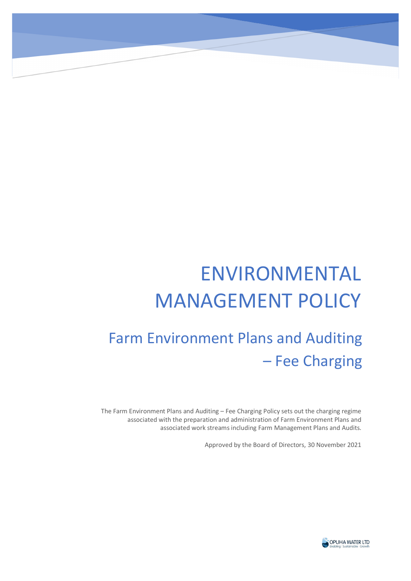# ENVIRONMENTAL MANAGEMENT POLICY

# Farm Environment Plans and Auditing – Fee Charging

The Farm Environment Plans and Auditing – Fee Charging Policy sets out the charging regime associated with the preparation and administration of Farm Environment Plans and associated work streams including Farm Management Plans and Audits.

Approved by the Board of Directors, 30 November 2021

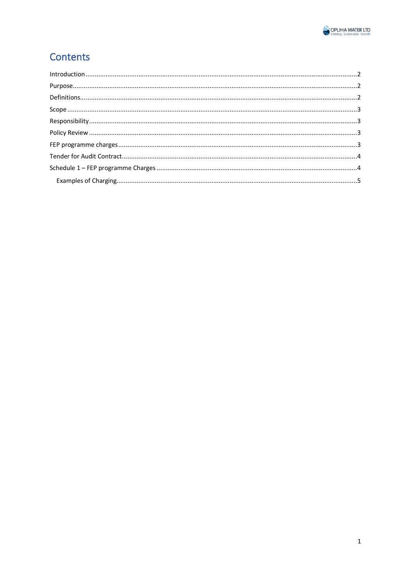

## Contents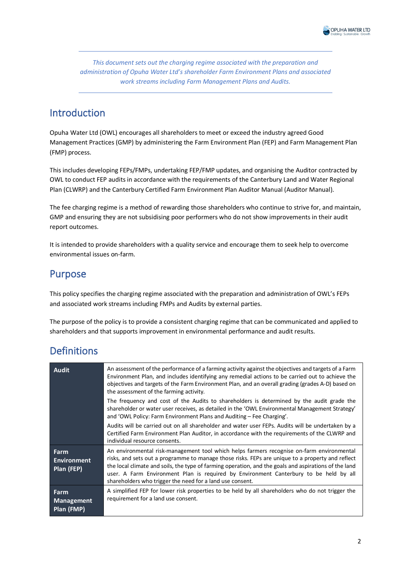

*This document sets out the charging regime associated with the preparation and administration of Opuha Water Ltd's shareholder Farm Environment Plans and associated work streams including Farm Management Plans and Audits.* 

#### <span id="page-2-0"></span>Introduction

Opuha Water Ltd (OWL) encourages all shareholders to meet or exceed the industry agreed Good Management Practices (GMP) by administering the Farm Environment Plan (FEP) and Farm Management Plan (FMP) process.

This includes developing FEPs/FMPs, undertaking FEP/FMP updates, and organising the Auditor contracted by OWL to conduct FEP audits in accordance with the requirements of the Canterbury Land and Water Regional Plan (CLWRP) and the Canterbury Certified Farm Environment Plan Auditor Manual (Auditor Manual).

The fee charging regime is a method of rewarding those shareholders who continue to strive for, and maintain, GMP and ensuring they are not subsidising poor performers who do not show improvements in their audit report outcomes.

It is intended to provide shareholders with a quality service and encourage them to seek help to overcome environmental issues on-farm.

#### <span id="page-2-1"></span>Purpose

This policy specifies the charging regime associated with the preparation and administration of OWL's FEPs and associated work streams including FMPs and Audits by external parties.

The purpose of the policy is to provide a consistent charging regime that can be communicated and applied to shareholders and that supports improvement in environmental performance and audit results.

#### <span id="page-2-2"></span>Definitions

| <b>Audit</b>                             | An assessment of the performance of a farming activity against the objectives and targets of a Farm<br>Environment Plan, and includes identifying any remedial actions to be carried out to achieve the<br>objectives and targets of the Farm Environment Plan, and an overall grading (grades A-D) based on<br>the assessment of the farming activity.                                                                                                      |
|------------------------------------------|--------------------------------------------------------------------------------------------------------------------------------------------------------------------------------------------------------------------------------------------------------------------------------------------------------------------------------------------------------------------------------------------------------------------------------------------------------------|
|                                          | The frequency and cost of the Audits to shareholders is determined by the audit grade the<br>shareholder or water user receives, as detailed in the 'OWL Environmental Management Strategy'<br>and 'OWL Policy: Farm Environment Plans and Auditing – Fee Charging'.                                                                                                                                                                                         |
|                                          | Audits will be carried out on all shareholder and water user FEPs. Audits will be undertaken by a<br>Certified Farm Environment Plan Auditor, in accordance with the requirements of the CLWRP and<br>individual resource consents.                                                                                                                                                                                                                          |
| Farm<br><b>Environment</b><br>Plan (FEP) | An environmental risk-management tool which helps farmers recognise on-farm environmental<br>risks, and sets out a programme to manage those risks. FEPs are unique to a property and reflect<br>the local climate and soils, the type of farming operation, and the goals and aspirations of the land<br>user. A Farm Environment Plan is required by Environment Canterbury to be held by all<br>shareholders who trigger the need for a land use consent. |
| Farm<br><b>Management</b><br>Plan (FMP)  | A simplified FEP for lower risk properties to be held by all shareholders who do not trigger the<br>requirement for a land use consent.                                                                                                                                                                                                                                                                                                                      |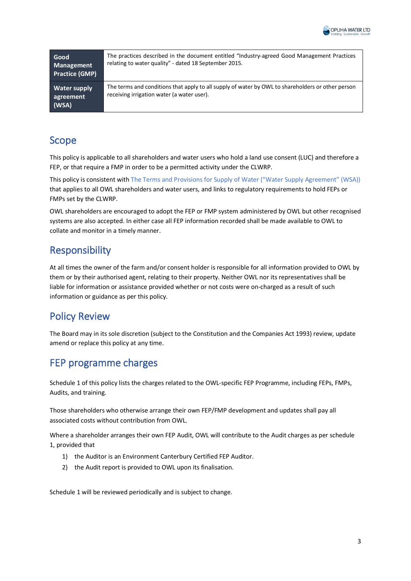

| Good<br>Management<br><b>Practice (GMP)</b> | The practices described in the document entitled "Industry-agreed Good Management Practices<br>relating to water quality" - dated 18 September 2015. |
|---------------------------------------------|------------------------------------------------------------------------------------------------------------------------------------------------------|
| <b>Water supply</b><br>agreement<br>(WSA)   | The terms and conditions that apply to all supply of water by OWL to shareholders or other person<br>receiving irrigation water (a water user).      |

#### <span id="page-3-0"></span>Scope

This policy is applicable to all shareholders and water users who hold a land use consent (LUC) and therefore a FEP, or that require a FMP in order to be a permitted activity under the CLWRP.

This policy is consistent with The Terms and Provisions for Supply of Water ("Water Supply Agreement" (WSA)) that applies to all OWL shareholders and water users, and links to regulatory requirements to hold FEPs or FMPs set by the CLWRP.

OWL shareholders are encouraged to adopt the FEP or FMP system administered by OWL but other recognised systems are also accepted. In either case all FEP information recorded shall be made available to OWL to collate and monitor in a timely manner.

#### <span id="page-3-1"></span>Responsibility

At all times the owner of the farm and/or consent holder is responsible for all information provided to OWL by them or by their authorised agent, relating to their property. Neither OWL nor its representatives shall be liable for information or assistance provided whether or not costs were on-charged as a result of such information or guidance as per this policy.

#### <span id="page-3-2"></span>Policy Review

The Board may in its sole discretion (subject to the Constitution and the Companies Act 1993) review, update amend or replace this policy at any time.

# <span id="page-3-3"></span>FEP programme charges

Schedule 1 of this policy lists the charges related to the OWL-specific FEP Programme, including FEPs, FMPs, Audits, and training.

Those shareholders who otherwise arrange their own FEP/FMP development and updates shall pay all associated costs without contribution from OWL.

Where a shareholder arranges their own FEP Audit, OWL will contribute to the Audit charges as per schedule 1, provided that

- 1) the Auditor is an Environment Canterbury Certified FEP Auditor.
- 2) the Audit report is provided to OWL upon its finalisation.

Schedule 1 will be reviewed periodically and is subject to change.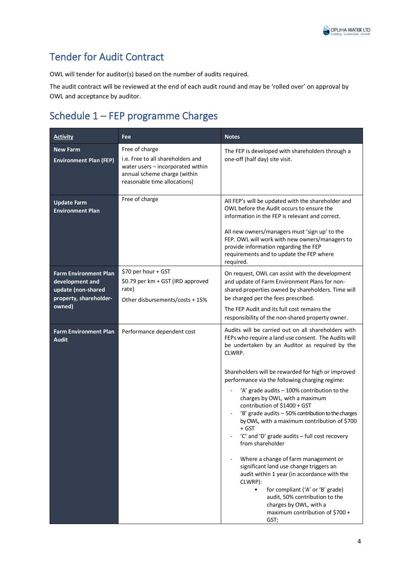

### <span id="page-4-0"></span>Tender for Audit Contract

OWL will tender for auditor(s) based on the number of audits required.

The audit contract will be reviewed at the end of each audit round and may be 'rolled over' on approval by OWL and acceptance by auditor.

# <span id="page-4-1"></span>Schedule 1 – FEP programme Charges

| <b>Activity</b>                                                                                           | Fee                                                                                                                                                      | <b>Notes</b>                                                                                                                                                                                                                                                                                                                                                                                                                                                                                                                                                                                                                                                                                                                                                                                                                                                                              |
|-----------------------------------------------------------------------------------------------------------|----------------------------------------------------------------------------------------------------------------------------------------------------------|-------------------------------------------------------------------------------------------------------------------------------------------------------------------------------------------------------------------------------------------------------------------------------------------------------------------------------------------------------------------------------------------------------------------------------------------------------------------------------------------------------------------------------------------------------------------------------------------------------------------------------------------------------------------------------------------------------------------------------------------------------------------------------------------------------------------------------------------------------------------------------------------|
| <b>New Farm</b><br><b>Environment Plan (FEP)</b>                                                          | Free of charge<br>i.e. Free to all shareholders and<br>water users - incorporated within<br>annual scheme charge (within<br>reasonable time allocations) | The FEP is developed with shareholders through a<br>one-off (half day) site visit.                                                                                                                                                                                                                                                                                                                                                                                                                                                                                                                                                                                                                                                                                                                                                                                                        |
| <b>Update Farm</b><br><b>Environment Plan</b>                                                             | Free of charge                                                                                                                                           | All FEP's will be updated with the shareholder and<br>OWL before the Audit occurs to ensure the<br>information in the FEP is relevant and correct.<br>All new owners/managers must 'sign up' to the<br>FEP. OWL will work with new owners/managers to<br>provide information regarding the FEP<br>requirements and to update the FEP where<br>required.                                                                                                                                                                                                                                                                                                                                                                                                                                                                                                                                   |
| <b>Farm Environment Plan</b><br>development and<br>update (non-shared<br>property, shareholder-<br>owned) | \$70 per hour + GST<br>\$0.79 per km + GST (IRD approved<br>rate)<br>Other disbursements/costs + 15%                                                     | On request, OWL can assist with the development<br>and update of Farm Environment Plans for non-<br>shared properties owned by shareholders. Time will<br>be charged per the fees prescribed.<br>The FEP Audit and its full cost remains the<br>responsibility of the non-shared property owner.                                                                                                                                                                                                                                                                                                                                                                                                                                                                                                                                                                                          |
| <b>Farm Environment Plan</b><br><b>Audit</b>                                                              | Performance dependent cost                                                                                                                               | Audits will be carried out on all shareholders with<br>FEPs who require a land use consent. The Audits will<br>be undertaken by an Auditor as required by the<br>CLWRP.<br>Shareholders will be rewarded for high or improved<br>performance via the following charging regime:<br>'A' grade audits - 100% contribution to the<br>charges by OWL, with a maximum<br>contribution of \$1400 + GST<br>'B' grade audits - 50% contribution to the charges<br>by OWL, with a maximum contribution of \$700<br>+ GST<br>'C' and 'D' grade audits - full cost recovery<br>from shareholder<br>Where a change of farm management or<br>significant land use change triggers an<br>audit within 1 year (in accordance with the<br>CLWRP):<br>for compliant ('A' or 'B' grade)<br>$\bullet$<br>audit, 50% contribution to the<br>charges by OWL, with a<br>maximum contribution of \$700 +<br>GST; |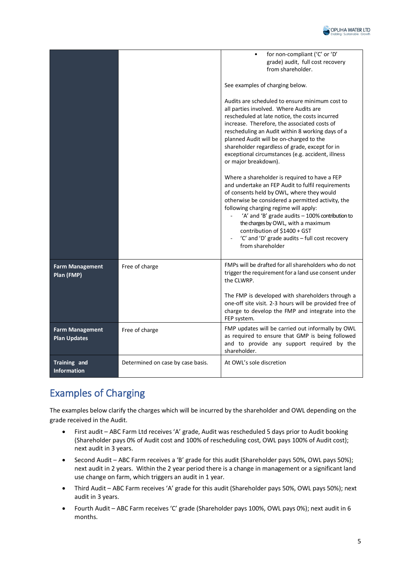

|                                               |                                   | for non-compliant ('C' or 'D'<br>grade) audit, full cost recovery<br>from shareholder.                                                                                                                                                                                                                                                                                                                                                      |
|-----------------------------------------------|-----------------------------------|---------------------------------------------------------------------------------------------------------------------------------------------------------------------------------------------------------------------------------------------------------------------------------------------------------------------------------------------------------------------------------------------------------------------------------------------|
|                                               |                                   | See examples of charging below.                                                                                                                                                                                                                                                                                                                                                                                                             |
|                                               |                                   | Audits are scheduled to ensure minimum cost to<br>all parties involved. Where Audits are<br>rescheduled at late notice, the costs incurred<br>increase. Therefore, the associated costs of<br>rescheduling an Audit within 8 working days of a<br>planned Audit will be on-charged to the<br>shareholder regardless of grade, except for in<br>exceptional circumstances (e.g. accident, illness<br>or major breakdown).                    |
|                                               |                                   | Where a shareholder is required to have a FEP<br>and undertake an FEP Audit to fulfil requirements<br>of consents held by OWL, where they would<br>otherwise be considered a permitted activity, the<br>following charging regime will apply:<br>'A' and 'B' grade audits - 100% contribution to<br>the charges by OWL, with a maximum<br>contribution of \$1400 + GST<br>'C' and 'D' grade audits - full cost recovery<br>from shareholder |
| <b>Farm Management</b><br>Plan (FMP)          | Free of charge                    | FMPs will be drafted for all shareholders who do not<br>trigger the requirement for a land use consent under<br>the CLWRP.                                                                                                                                                                                                                                                                                                                  |
|                                               |                                   | The FMP is developed with shareholders through a<br>one-off site visit. 2-3 hours will be provided free of<br>charge to develop the FMP and integrate into the<br>FEP system.                                                                                                                                                                                                                                                               |
| <b>Farm Management</b><br><b>Plan Updates</b> | Free of charge                    | FMP updates will be carried out informally by OWL<br>as required to ensure that GMP is being followed<br>and to provide any support required by the<br>shareholder.                                                                                                                                                                                                                                                                         |
| Training and<br><b>Information</b>            | Determined on case by case basis. | At OWL's sole discretion                                                                                                                                                                                                                                                                                                                                                                                                                    |

# <span id="page-5-0"></span>Examples of Charging

The examples below clarify the charges which will be incurred by the shareholder and OWL depending on the grade received in the Audit.

- First audit ABC Farm Ltd receives 'A' grade, Audit was rescheduled 5 days prior to Audit booking (Shareholder pays 0% of Audit cost and 100% of rescheduling cost, OWL pays 100% of Audit cost); next audit in 3 years.
- Second Audit ABC Farm receives a 'B' grade for this audit (Shareholder pays 50%, OWL pays 50%); next audit in 2 years. Within the 2 year period there is a change in management or a significant land use change on farm, which triggers an audit in 1 year.
- Third Audit ABC Farm receives 'A' grade for this audit (Shareholder pays 50%, OWL pays 50%); next audit in 3 years.
- Fourth Audit ABC Farm receives 'C' grade (Shareholder pays 100%, OWL pays 0%); next audit in 6 months.